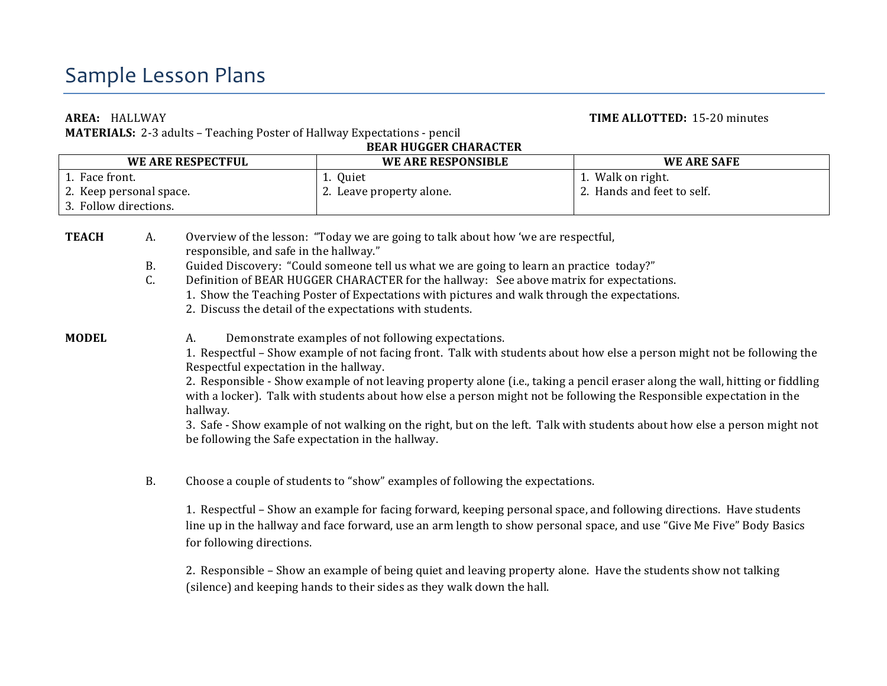# Sample Lesson Plans

#### **AREA:** HALLWAY **TIME ALLOTTED:** 15-20 minutes

**MATERIALS:** 2-3 adults – Teaching Poster of Hallway Expectations - pencil

#### **BEAR(HUGGER CHARACTER**

| WE ARE RESPECTFUL       | WE ARE RESPONSIBLE       | <b>WE ARE SAFE</b>         |
|-------------------------|--------------------------|----------------------------|
| Face front.             | 1. Quiet                 | 1. Walk on right.          |
| 2. Keep personal space. | 2. Leave property alone. | 2. Hands and feet to self. |
| 3. Follow directions.   |                          |                            |

**TEACH** A. Overview of the lesson: "Today we are going to talk about how 'we are respectful, responsible, and safe in the hallway."

B. Guided Discovery: "Could someone tell us what we are going to learn an practice today?"

- C. Definition of BEAR HUGGER CHARACTER for the hallway: See above matrix for expectations.
	- 1. Show the Teaching Poster of Expectations with pictures and walk through the expectations.
	- 2. Discuss the detail of the expectations with students.

**MODEL** A. Demonstrate examples of not following expectations.

1. Respectful – Show example of not facing front. Talk with students about how else a person might not be following the Respectful expectation in the hallway.

2. Responsible - Show example of not leaving property alone (i.e., taking a pencil eraser along the wall, hitting or fiddling with a locker). Talk with students about how else a person might not be following the Responsible expectation in the hallway.

3. Safe - Show example of not walking on the right, but on the left. Talk with students about how else a person might not be following the Safe expectation in the hallway.

B. Choose a couple of students to "show" examples of following the expectations.

1. Respectful – Show an example for facing forward, keeping personal space, and following directions. Have students line up in the hallway and face forward, use an arm length to show personal space, and use "Give Me Five" Body Basics for following directions.

2. Responsible – Show an example of being quiet and leaving property alone. Have the students show not talking (silence) and keeping hands to their sides as they walk down the hall.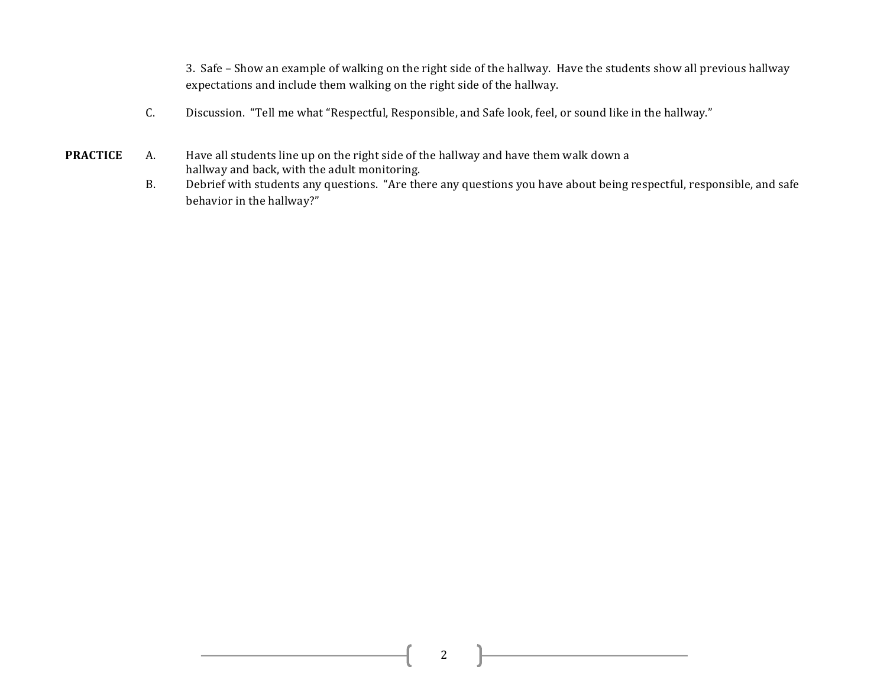3. Safe - Show an example of walking on the right side of the hallway. Have the students show all previous hallway expectations and include them walking on the right side of the hallway.

- C. Discussion. "Tell me what "Respectful, Responsible, and Safe look, feel, or sound like in the hallway."
- **PRACTICE** A. Have all students line up on the right side of the hallway and have them walk down a hallway and back, with the adult monitoring.
	- B. Debrief with students any questions. "Are there any questions you have about being respectful, responsible, and safe behavior in the hallway?"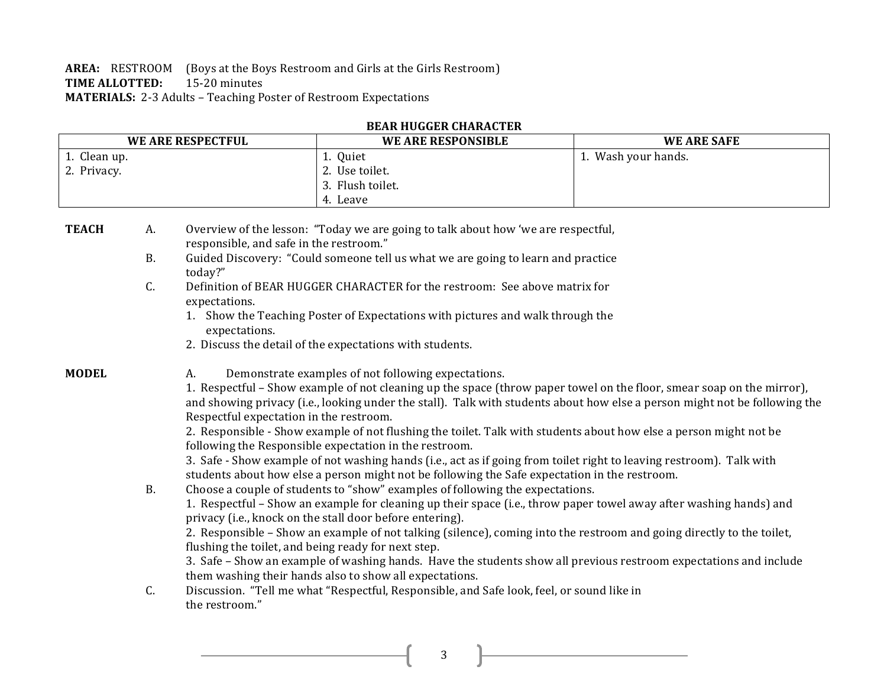**AREA:** RESTROOM (Boys at the Boys Restroom and Girls at the Girls Restroom) **TIME ALLOTTED:** 15-20 minutes **MATERIALS: 2-3 Adults - Teaching Poster of Restroom Expectations** 

|              |           | WE ARE RESPECTFUL                                   | <b>WE ARE RESPONSIBLE</b>                                                                                                  | <b>WE ARE SAFE</b>  |
|--------------|-----------|-----------------------------------------------------|----------------------------------------------------------------------------------------------------------------------------|---------------------|
| 1. Clean up. |           |                                                     | 1. Quiet                                                                                                                   | 1. Wash your hands. |
| 2. Privacy.  |           |                                                     | 2. Use toilet.                                                                                                             |                     |
|              |           |                                                     | 3. Flush toilet.                                                                                                           |                     |
|              |           |                                                     | 4. Leave                                                                                                                   |                     |
|              |           |                                                     |                                                                                                                            |                     |
| <b>TEACH</b> | A.        |                                                     | Overview of the lesson: "Today we are going to talk about how 'we are respectful,                                          |                     |
|              |           | responsible, and safe in the restroom."             |                                                                                                                            |                     |
|              | <b>B.</b> |                                                     | Guided Discovery: "Could someone tell us what we are going to learn and practice                                           |                     |
|              |           | today?"                                             |                                                                                                                            |                     |
|              | C.        |                                                     | Definition of BEAR HUGGER CHARACTER for the restroom: See above matrix for                                                 |                     |
|              |           | expectations.                                       |                                                                                                                            |                     |
|              |           |                                                     | 1. Show the Teaching Poster of Expectations with pictures and walk through the                                             |                     |
|              |           | expectations.                                       |                                                                                                                            |                     |
|              |           |                                                     | 2. Discuss the detail of the expectations with students.                                                                   |                     |
| <b>MODEL</b> |           | A.                                                  | Demonstrate examples of not following expectations.                                                                        |                     |
|              |           |                                                     | 1. Respectful – Show example of not cleaning up the space (throw paper towel on the floor, smear soap on the mirror),      |                     |
|              |           |                                                     | and showing privacy (i.e., looking under the stall). Talk with students about how else a person might not be following the |                     |
|              |           | Respectful expectation in the restroom.             |                                                                                                                            |                     |
|              |           |                                                     | 2. Responsible - Show example of not flushing the toilet. Talk with students about how else a person might not be          |                     |
|              |           |                                                     | following the Responsible expectation in the restroom.                                                                     |                     |
|              |           |                                                     | 3. Safe - Show example of not washing hands (i.e., act as if going from toilet right to leaving restroom). Talk with       |                     |
|              |           |                                                     | students about how else a person might not be following the Safe expectation in the restroom.                              |                     |
|              | <b>B.</b> |                                                     | Choose a couple of students to "show" examples of following the expectations.                                              |                     |
|              |           |                                                     | 1. Respectful – Show an example for cleaning up their space (i.e., throw paper towel away after washing hands) and         |                     |
|              |           |                                                     | privacy (i.e., knock on the stall door before entering).                                                                   |                     |
|              |           |                                                     | 2. Responsible - Show an example of not talking (silence), coming into the restroom and going directly to the toilet,      |                     |
|              |           | flushing the toilet, and being ready for next step. |                                                                                                                            |                     |
|              |           |                                                     |                                                                                                                            |                     |
|              |           |                                                     | 3. Safe - Show an example of washing hands. Have the students show all previous restroom expectations and include          |                     |
|              |           |                                                     | them washing their hands also to show all expectations.                                                                    |                     |
|              | C.        |                                                     | Discussion. "Tell me what "Respectful, Responsible, and Safe look, feel, or sound like in                                  |                     |
|              |           | the restroom."                                      |                                                                                                                            |                     |

#### **BEAR(HUGGER CHARACTER**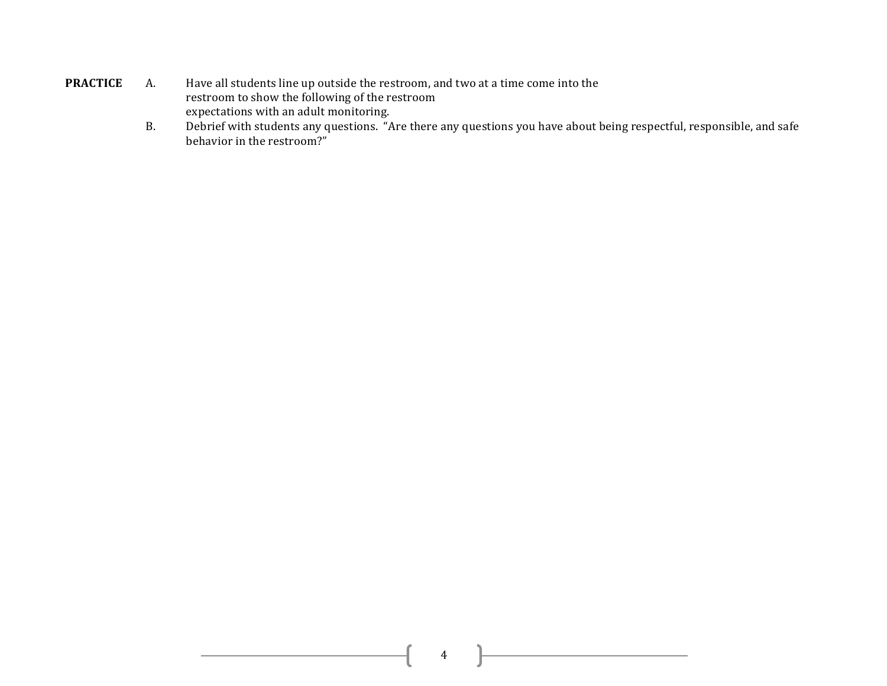- **PRACTICE** A. Have all students line up outside the restroom, and two at a time come into the restroom to show the following of the restroom expectations with an adult monitoring.
	- B. Debrief with students any questions. "Are there any questions you have about being respectful, responsible, and safe behavior in the restroom?"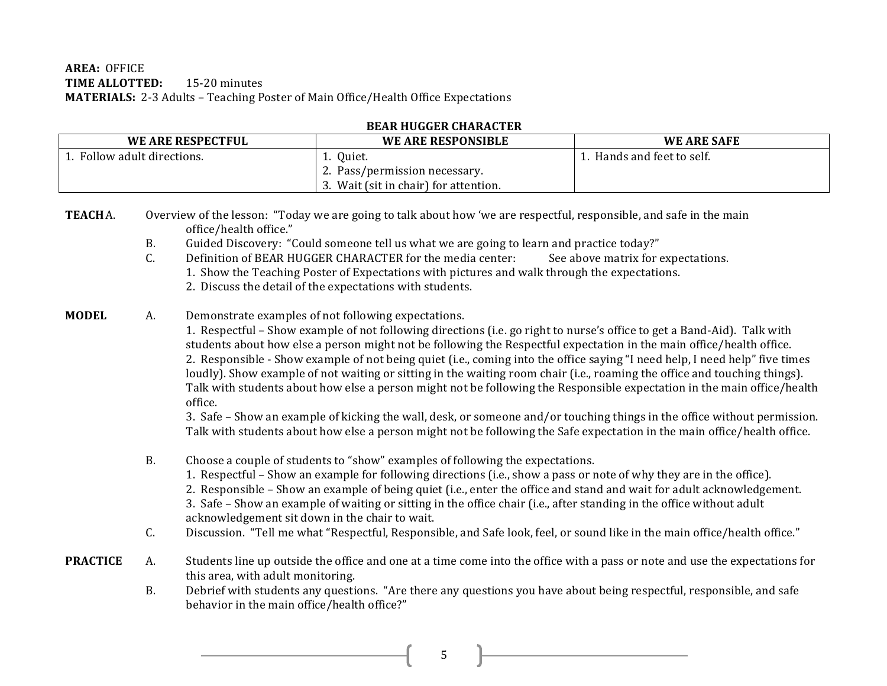#### **AREA: OFFICE TIME ALLOTTED:** 15-20 minutes **MATERIALS:** 2-3 Adults - Teaching Poster of Main Office/Health Office Expectations

| WE ARE RESPECTFUL           |                 |                                                                                                                                                                                                                                                                                                                                                                                                                                                                                                                                                                                                                                                                                                                                                                                                                                                                                                                                                                  | <b>WE ARE RESPONSIBLE</b>                                                                                                                                                                                                                                                                                                                                                                                                                                                                                                                                                           | <b>WE ARE SAFE</b>         |
|-----------------------------|-----------------|------------------------------------------------------------------------------------------------------------------------------------------------------------------------------------------------------------------------------------------------------------------------------------------------------------------------------------------------------------------------------------------------------------------------------------------------------------------------------------------------------------------------------------------------------------------------------------------------------------------------------------------------------------------------------------------------------------------------------------------------------------------------------------------------------------------------------------------------------------------------------------------------------------------------------------------------------------------|-------------------------------------------------------------------------------------------------------------------------------------------------------------------------------------------------------------------------------------------------------------------------------------------------------------------------------------------------------------------------------------------------------------------------------------------------------------------------------------------------------------------------------------------------------------------------------------|----------------------------|
| 1. Follow adult directions. |                 |                                                                                                                                                                                                                                                                                                                                                                                                                                                                                                                                                                                                                                                                                                                                                                                                                                                                                                                                                                  | 1. Quiet.                                                                                                                                                                                                                                                                                                                                                                                                                                                                                                                                                                           | 1. Hands and feet to self. |
|                             |                 |                                                                                                                                                                                                                                                                                                                                                                                                                                                                                                                                                                                                                                                                                                                                                                                                                                                                                                                                                                  | 2. Pass/permission necessary.                                                                                                                                                                                                                                                                                                                                                                                                                                                                                                                                                       |                            |
|                             |                 |                                                                                                                                                                                                                                                                                                                                                                                                                                                                                                                                                                                                                                                                                                                                                                                                                                                                                                                                                                  | 3. Wait (sit in chair) for attention.                                                                                                                                                                                                                                                                                                                                                                                                                                                                                                                                               |                            |
| <b>TEACHA.</b>              |                 | office/health office."                                                                                                                                                                                                                                                                                                                                                                                                                                                                                                                                                                                                                                                                                                                                                                                                                                                                                                                                           | Overview of the lesson: "Today we are going to talk about how 'we are respectful, responsible, and safe in the main                                                                                                                                                                                                                                                                                                                                                                                                                                                                 |                            |
|                             | <b>B.</b><br>C. | Guided Discovery: "Could someone tell us what we are going to learn and practice today?"<br>Definition of BEAR HUGGER CHARACTER for the media center:<br>See above matrix for expectations.<br>1. Show the Teaching Poster of Expectations with pictures and walk through the expectations.<br>2. Discuss the detail of the expectations with students.                                                                                                                                                                                                                                                                                                                                                                                                                                                                                                                                                                                                          |                                                                                                                                                                                                                                                                                                                                                                                                                                                                                                                                                                                     |                            |
| <b>MODEL</b>                | A.              | Demonstrate examples of not following expectations.<br>1. Respectful – Show example of not following directions (i.e. go right to nurse's office to get a Band-Aid). Talk with<br>students about how else a person might not be following the Respectful expectation in the main office/health office.<br>2. Responsible - Show example of not being quiet (i.e., coming into the office saying "I need help, I need help" five times<br>loudly). Show example of not waiting or sitting in the waiting room chair (i.e., roaming the office and touching things).<br>Talk with students about how else a person might not be following the Responsible expectation in the main office/health<br>office.<br>3. Safe - Show an example of kicking the wall, desk, or someone and/or touching things in the office without permission.<br>Talk with students about how else a person might not be following the Safe expectation in the main office/health office. |                                                                                                                                                                                                                                                                                                                                                                                                                                                                                                                                                                                     |                            |
|                             | <b>B.</b><br>C. | acknowledgement sit down in the chair to wait.                                                                                                                                                                                                                                                                                                                                                                                                                                                                                                                                                                                                                                                                                                                                                                                                                                                                                                                   | Choose a couple of students to "show" examples of following the expectations.<br>1. Respectful – Show an example for following directions (i.e., show a pass or note of why they are in the office).<br>2. Responsible – Show an example of being quiet (i.e., enter the office and stand and wait for adult acknowledgement.<br>3. Safe – Show an example of waiting or sitting in the office chair (i.e., after standing in the office without adult<br>Discussion. "Tell me what "Respectful, Responsible, and Safe look, feel, or sound like in the main office/health office." |                            |
|                             |                 |                                                                                                                                                                                                                                                                                                                                                                                                                                                                                                                                                                                                                                                                                                                                                                                                                                                                                                                                                                  |                                                                                                                                                                                                                                                                                                                                                                                                                                                                                                                                                                                     |                            |
| <b>PRACTICE</b>             | А.              | this area, with adult monitoring.                                                                                                                                                                                                                                                                                                                                                                                                                                                                                                                                                                                                                                                                                                                                                                                                                                                                                                                                | Students line up outside the office and one at a time come into the office with a pass or note and use the expectations for                                                                                                                                                                                                                                                                                                                                                                                                                                                         |                            |
|                             | <b>B.</b>       | behavior in the main office/health office?"                                                                                                                                                                                                                                                                                                                                                                                                                                                                                                                                                                                                                                                                                                                                                                                                                                                                                                                      | Debrief with students any questions. "Are there any questions you have about being respectful, responsible, and safe                                                                                                                                                                                                                                                                                                                                                                                                                                                                |                            |

### **BEAR(HUGGER CHARACTER**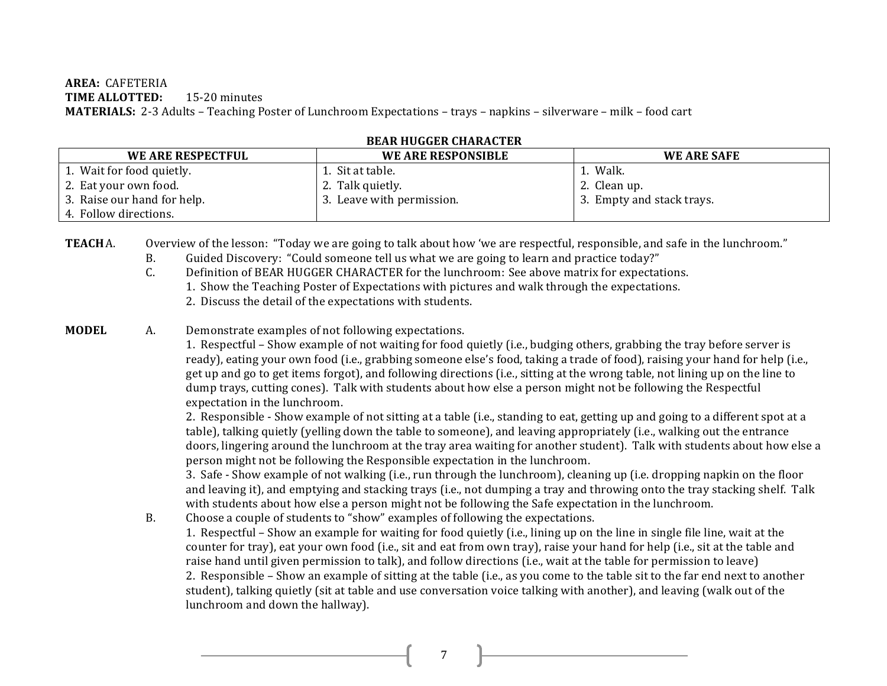## **AREA: CAFETERIA TIME ALLOTTED:** 15-20 minutes

**MATERIALS:** 2-3 Adults – Teaching Poster of Lunchroom Expectations – trays – napkins – silverware – milk – food cart

#### **BEAR(HUGGER CHARACTER**

| WE ARE RESPECTFUL           | WE ARE RESPONSIBLE        | <b>WE ARE SAFE</b>        |
|-----------------------------|---------------------------|---------------------------|
| 1. Wait for food quietly.   | 1. Sit at table.          | 1. Walk.                  |
| 2. Eat your own food.       | 2. Talk quietly.          | 2. Clean up.              |
| 3. Raise our hand for help. | 3. Leave with permission. | 3. Empty and stack trays. |
| 4. Follow directions.       |                           |                           |

**TEACH**A. Overview of the lesson: "Today we are going to talk about how 'we are respectful, responsible, and safe in the lunchroom."

B. Guided Discovery: "Could someone tell us what we are going to learn and practice today?"

C. Definition of BEAR HUGGER CHARACTER for the lunchroom: See above matrix for expectations.

1. Show the Teaching Poster of Expectations with pictures and walk through the expectations.

2. Discuss the detail of the expectations with students.

#### **MODEL** A. Demonstrate examples of not following expectations.

1. Respectful – Show example of not waiting for food quietly (i.e., budging others, grabbing the tray before server is ready), eating your own food (i.e., grabbing someone else's food, taking a trade of food), raising your hand for help (i.e., get up and go to get items forgot), and following directions (i.e., sitting at the wrong table, not lining up on the line to dump trays, cutting cones). Talk with students about how else a person might not be following the Respectful expectation in the lunchroom.

2. Responsible - Show example of not sitting at a table (i.e., standing to eat, getting up and going to a different spot at a table), talking quietly (yelling down the table to someone), and leaving appropriately (i.e., walking out the entrance doors, lingering around the lunchroom at the tray area waiting for another student). Talk with students about how else a person might not be following the Responsible expectation in the lunchroom.

3. Safe - Show example of not walking (i.e., run through the lunchroom), cleaning up (i.e. dropping napkin on the floor and leaving it), and emptying and stacking trays (i.e., not dumping a tray and throwing onto the tray stacking shelf. Talk with students about how else a person might not be following the Safe expectation in the lunchroom.

B. Choose a couple of students to "show" examples of following the expectations.

1. Respectful – Show an example for waiting for food quietly (i.e., lining up on the line in single file line, wait at the counter for tray), eat your own food (i.e., sit and eat from own tray), raise your hand for help (i.e., sit at the table and raise hand until given permission to talk), and follow directions (i.e., wait at the table for permission to leave) 2. Responsible – Show an example of sitting at the table (i.e., as you come to the table sit to the far end next to another student), talking quietly (sit at table and use conversation voice talking with another), and leaving (walk out of the lunchroom and down the hallway).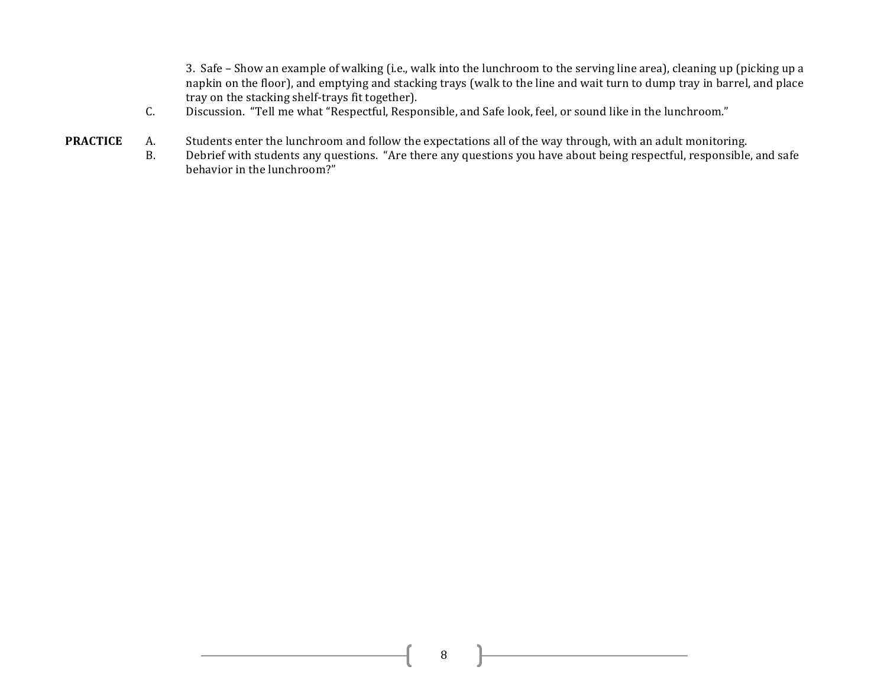3. Safe – Show an example of walking (i.e., walk into the lunchroom to the serving line area), cleaning up (picking up a napkin on the floor), and emptying and stacking trays (walk to the line and wait turn to dump tray in barrel, and place tray on the stacking shelf-trays fit together).

- C. Discussion. "Tell me what "Respectful, Responsible, and Safe look, feel, or sound like in the lunchroom."
- **PRACTICE** A. Students enter the lunchroom and follow the expectations all of the way through, with an adult monitoring.
	- B. Debrief with students any questions. "Are there any questions you have about being respectful, responsible, and safe behavior in the lunchroom?"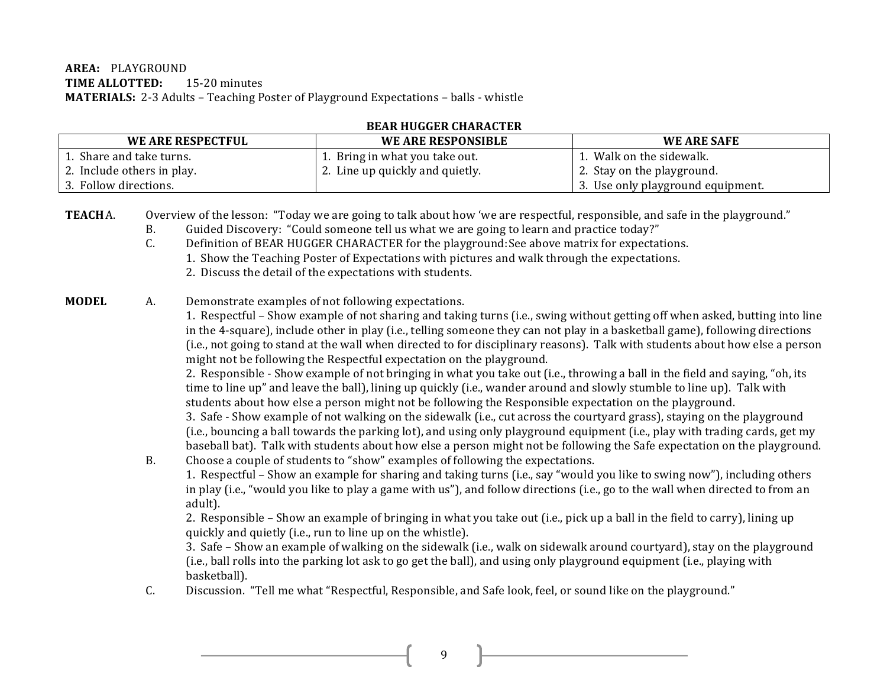#### **AREA: PLAYGROUND<br>TIME ALLOTTED:** 15-20 minutes **TIME ALLOTTED:**

**MATERIALS:** 2-3 Adults - Teaching Poster of Playground Expectations - balls - whistle

| <b>WE ARE RESPECTFUL</b>   |                         | <b>WE ARE RESPONSIBLE</b>       | <b>WE ARE SAFE</b>                                                                                                                                                                                                                                                                                                                                                                                                                                                                                                                                                                                                                                                                                                                                                                                                                                                                                                                                                                                                                                                                                                                                                                                                                                                                                                                                                                                                                                                                                                                                                                                                                                                                                                                                                                                                                                                                                                                                                                                                                                                                                                                                                                                                                                                                                                                                                                                                                                                                                                                                                                                                                                                                                                   |
|----------------------------|-------------------------|---------------------------------|----------------------------------------------------------------------------------------------------------------------------------------------------------------------------------------------------------------------------------------------------------------------------------------------------------------------------------------------------------------------------------------------------------------------------------------------------------------------------------------------------------------------------------------------------------------------------------------------------------------------------------------------------------------------------------------------------------------------------------------------------------------------------------------------------------------------------------------------------------------------------------------------------------------------------------------------------------------------------------------------------------------------------------------------------------------------------------------------------------------------------------------------------------------------------------------------------------------------------------------------------------------------------------------------------------------------------------------------------------------------------------------------------------------------------------------------------------------------------------------------------------------------------------------------------------------------------------------------------------------------------------------------------------------------------------------------------------------------------------------------------------------------------------------------------------------------------------------------------------------------------------------------------------------------------------------------------------------------------------------------------------------------------------------------------------------------------------------------------------------------------------------------------------------------------------------------------------------------------------------------------------------------------------------------------------------------------------------------------------------------------------------------------------------------------------------------------------------------------------------------------------------------------------------------------------------------------------------------------------------------------------------------------------------------------------------------------------------------|
| 1. Share and take turns.   |                         | 1. Bring in what you take out.  | 1. Walk on the sidewalk.                                                                                                                                                                                                                                                                                                                                                                                                                                                                                                                                                                                                                                                                                                                                                                                                                                                                                                                                                                                                                                                                                                                                                                                                                                                                                                                                                                                                                                                                                                                                                                                                                                                                                                                                                                                                                                                                                                                                                                                                                                                                                                                                                                                                                                                                                                                                                                                                                                                                                                                                                                                                                                                                                             |
| 2. Include others in play. |                         | 2. Line up quickly and quietly. | 2. Stay on the playground.                                                                                                                                                                                                                                                                                                                                                                                                                                                                                                                                                                                                                                                                                                                                                                                                                                                                                                                                                                                                                                                                                                                                                                                                                                                                                                                                                                                                                                                                                                                                                                                                                                                                                                                                                                                                                                                                                                                                                                                                                                                                                                                                                                                                                                                                                                                                                                                                                                                                                                                                                                                                                                                                                           |
|                            |                         |                                 | 3. Use only playground equipment.                                                                                                                                                                                                                                                                                                                                                                                                                                                                                                                                                                                                                                                                                                                                                                                                                                                                                                                                                                                                                                                                                                                                                                                                                                                                                                                                                                                                                                                                                                                                                                                                                                                                                                                                                                                                                                                                                                                                                                                                                                                                                                                                                                                                                                                                                                                                                                                                                                                                                                                                                                                                                                                                                    |
| B.<br>C.                   |                         |                                 |                                                                                                                                                                                                                                                                                                                                                                                                                                                                                                                                                                                                                                                                                                                                                                                                                                                                                                                                                                                                                                                                                                                                                                                                                                                                                                                                                                                                                                                                                                                                                                                                                                                                                                                                                                                                                                                                                                                                                                                                                                                                                                                                                                                                                                                                                                                                                                                                                                                                                                                                                                                                                                                                                                                      |
| А.<br><b>B.</b>            | adult).<br>basketball). |                                 |                                                                                                                                                                                                                                                                                                                                                                                                                                                                                                                                                                                                                                                                                                                                                                                                                                                                                                                                                                                                                                                                                                                                                                                                                                                                                                                                                                                                                                                                                                                                                                                                                                                                                                                                                                                                                                                                                                                                                                                                                                                                                                                                                                                                                                                                                                                                                                                                                                                                                                                                                                                                                                                                                                                      |
|                            |                         |                                 |                                                                                                                                                                                                                                                                                                                                                                                                                                                                                                                                                                                                                                                                                                                                                                                                                                                                                                                                                                                                                                                                                                                                                                                                                                                                                                                                                                                                                                                                                                                                                                                                                                                                                                                                                                                                                                                                                                                                                                                                                                                                                                                                                                                                                                                                                                                                                                                                                                                                                                                                                                                                                                                                                                                      |
|                            | C.                      | 3. Follow directions.           | <b>BEAR HUGGER CHARACTER</b><br>Overview of the lesson: "Today we are going to talk about how 'we are respectful, responsible, and safe in the playground."<br>Guided Discovery: "Could someone tell us what we are going to learn and practice today?"<br>Definition of BEAR HUGGER CHARACTER for the playground: See above matrix for expectations.<br>1. Show the Teaching Poster of Expectations with pictures and walk through the expectations.<br>2. Discuss the detail of the expectations with students.<br>Demonstrate examples of not following expectations.<br>1. Respectful - Show example of not sharing and taking turns (i.e., swing without getting off when asked, butting into line<br>in the 4-square), include other in play (i.e., telling someone they can not play in a basketball game), following directions<br>(i.e., not going to stand at the wall when directed to for disciplinary reasons). Talk with students about how else a person<br>might not be following the Respectful expectation on the playground.<br>2. Responsible - Show example of not bringing in what you take out (i.e., throwing a ball in the field and saying, "oh, its<br>time to line up" and leave the ball), lining up quickly (i.e., wander around and slowly stumble to line up). Talk with<br>students about how else a person might not be following the Responsible expectation on the playground.<br>3. Safe - Show example of not walking on the sidewalk (i.e., cut across the courtyard grass), staying on the playground<br>(i.e., bouncing a ball towards the parking lot), and using only playground equipment (i.e., play with trading cards, get my<br>baseball bat). Talk with students about how else a person might not be following the Safe expectation on the playground.<br>Choose a couple of students to "show" examples of following the expectations.<br>1. Respectful - Show an example for sharing and taking turns (i.e., say "would you like to swing now"), including others<br>in play (i.e., "would you like to play a game with us"), and follow directions (i.e., go to the wall when directed to from an<br>2. Responsible – Show an example of bringing in what you take out (i.e., pick up a ball in the field to carry), lining up<br>quickly and quietly (i.e., run to line up on the whistle).<br>3. Safe - Show an example of walking on the sidewalk (i.e., walk on sidewalk around courtyard), stay on the playground<br>(i.e., ball rolls into the parking lot ask to go get the ball), and using only playground equipment (i.e., playing with<br>Discussion. "Tell me what "Respectful, Responsible, and Safe look, feel, or sound like on the playground." |

# **BEAR(HUGGER CHARACTER**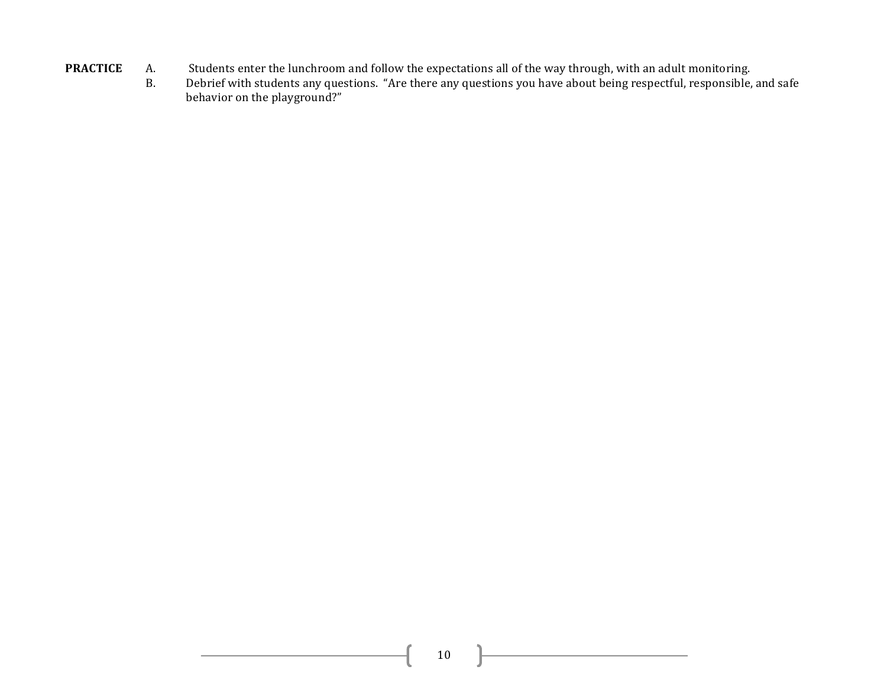- **PRACTICE** A. Students enter the lunchroom and follow the expectations all of the way through, with an adult monitoring.
	- B. Debrief with students any questions. "Are there any questions you have about being respectful, responsible, and safe behavior on the playground?"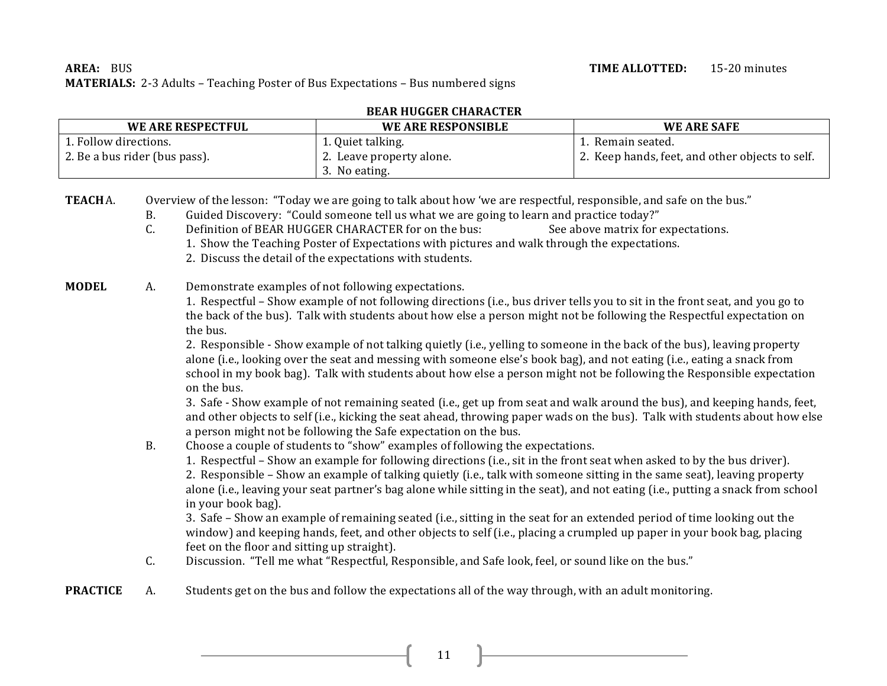### **AREA:** BUS **TIME ALLOTTED:** 15-20 minutes **MATERIALS:** 2-3 Adults - Teaching Poster of Bus Expectations - Bus numbered signs

| WE ARE RESPECTFUL             |                 |                                                                   | <b>WE ARE RESPONSIBLE</b>                                                                                                                                                                                                                                                                                                                                                                                                                                                                                                                                                                                                                                                                                                                                                                                                                                                                                                                                | <b>WE ARE SAFE</b>                              |  |
|-------------------------------|-----------------|-------------------------------------------------------------------|----------------------------------------------------------------------------------------------------------------------------------------------------------------------------------------------------------------------------------------------------------------------------------------------------------------------------------------------------------------------------------------------------------------------------------------------------------------------------------------------------------------------------------------------------------------------------------------------------------------------------------------------------------------------------------------------------------------------------------------------------------------------------------------------------------------------------------------------------------------------------------------------------------------------------------------------------------|-------------------------------------------------|--|
| 1. Follow directions.         |                 |                                                                   | 1. Quiet talking.                                                                                                                                                                                                                                                                                                                                                                                                                                                                                                                                                                                                                                                                                                                                                                                                                                                                                                                                        | 1. Remain seated.                               |  |
| 2. Be a bus rider (bus pass). |                 |                                                                   | 2. Leave property alone.                                                                                                                                                                                                                                                                                                                                                                                                                                                                                                                                                                                                                                                                                                                                                                                                                                                                                                                                 | 2. Keep hands, feet, and other objects to self. |  |
|                               |                 |                                                                   | 3. No eating.                                                                                                                                                                                                                                                                                                                                                                                                                                                                                                                                                                                                                                                                                                                                                                                                                                                                                                                                            |                                                 |  |
| <b>TEACHA.</b>                | B.<br>C.        |                                                                   | Overview of the lesson: "Today we are going to talk about how 'we are respectful, responsible, and safe on the bus."<br>Guided Discovery: "Could someone tell us what we are going to learn and practice today?"<br>Definition of BEAR HUGGER CHARACTER for on the bus:<br>1. Show the Teaching Poster of Expectations with pictures and walk through the expectations.<br>2. Discuss the detail of the expectations with students.                                                                                                                                                                                                                                                                                                                                                                                                                                                                                                                      | See above matrix for expectations.              |  |
| <b>MODEL</b>                  | А.              | the bus.<br>on the bus.                                           | Demonstrate examples of not following expectations.<br>1. Respectful - Show example of not following directions (i.e., bus driver tells you to sit in the front seat, and you go to<br>the back of the bus). Talk with students about how else a person might not be following the Respectful expectation on<br>2. Responsible - Show example of not talking quietly (i.e., yelling to someone in the back of the bus), leaving property<br>alone (i.e., looking over the seat and messing with someone else's book bag), and not eating (i.e., eating a snack from<br>school in my book bag). Talk with students about how else a person might not be following the Responsible expectation<br>3. Safe - Show example of not remaining seated (i.e., get up from seat and walk around the bus), and keeping hands, feet,<br>and other objects to self (i.e., kicking the seat ahead, throwing paper wads on the bus). Talk with students about how else |                                                 |  |
|                               | <b>B.</b><br>C. | in your book bag).<br>feet on the floor and sitting up straight). | a person might not be following the Safe expectation on the bus.<br>Choose a couple of students to "show" examples of following the expectations.<br>1. Respectful – Show an example for following directions (i.e., sit in the front seat when asked to by the bus driver).<br>2. Responsible - Show an example of talking quietly (i.e., talk with someone sitting in the same seat), leaving property<br>alone (i.e., leaving your seat partner's bag alone while sitting in the seat), and not eating (i.e., putting a snack from school<br>3. Safe – Show an example of remaining seated (i.e., sitting in the seat for an extended period of time looking out the<br>window) and keeping hands, feet, and other objects to self (i.e., placing a crumpled up paper in your book bag, placing<br>Discussion. "Tell me what "Respectful, Responsible, and Safe look, feel, or sound like on the bus."                                                |                                                 |  |
| <b>PRACTICE</b>               | А.              |                                                                   | Students get on the bus and follow the expectations all of the way through, with an adult monitoring.                                                                                                                                                                                                                                                                                                                                                                                                                                                                                                                                                                                                                                                                                                                                                                                                                                                    |                                                 |  |

# **BEAR(HUGGER CHARACTER**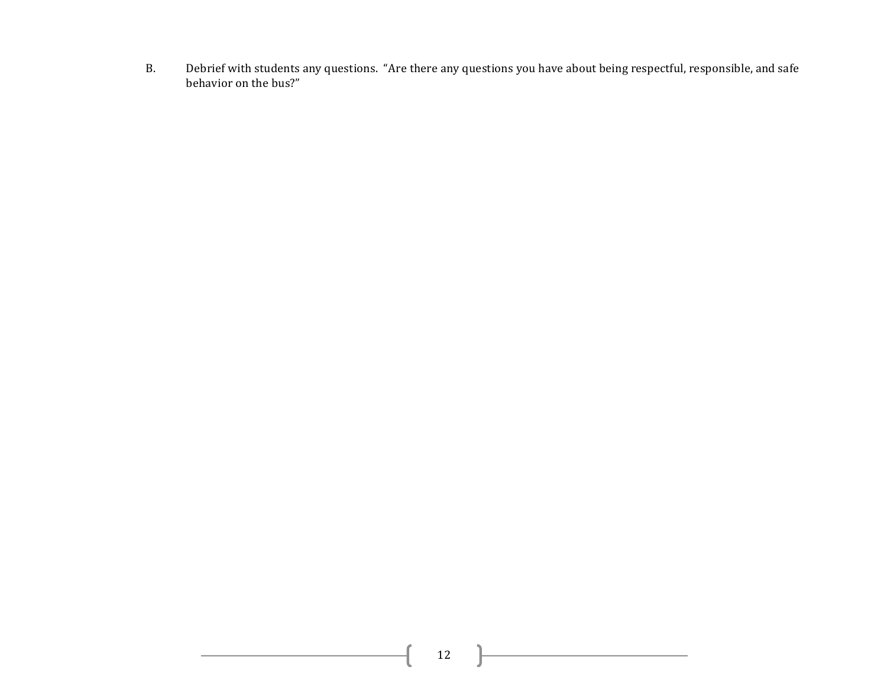B. Debrief with students any questions. "Are there any questions you have about being respectful, responsible, and safe behavior on the bus?"

<u> 1990 - Johann Barbara, martin a</u>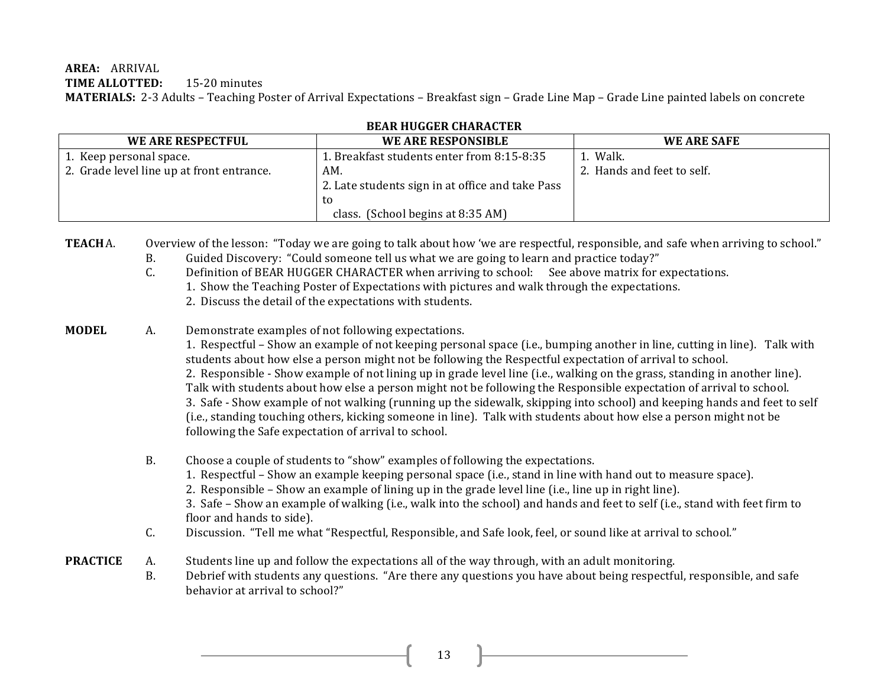AREA: ARRIVAL

**TIME ALLOTTED:** 15-20 minutes

**MATERIALS:** 2-3 Adults – Teaching Poster of Arrival Expectations – Breakfast sign – Grade Line Map – Grade Line painted labels on concrete

| WE ARE RESPECTFUL                         | WE ARE RESPONSIBLE                               | <b>WE ARE SAFE</b>         |
|-------------------------------------------|--------------------------------------------------|----------------------------|
| 1. Keep personal space.                   | 1. Breakfast students enter from 8:15-8:35       | 1. Walk.                   |
| 2. Grade level line up at front entrance. | AM.                                              | 2. Hands and feet to self. |
|                                           | 2. Late students sign in at office and take Pass |                            |
|                                           | to                                               |                            |
|                                           | class. (School begins at 8:35 AM)                |                            |

#### **BEAR(HUGGER CHARACTER**

**TEACH**A. Overview of the lesson: "Today we are going to talk about how 'we are respectful, responsible, and safe when arriving to school."

B. Guided Discovery: "Could someone tell us what we are going to learn and practice today?"

- C. Definition of BEAR HUGGER CHARACTER when arriving to school: See above matrix for expectations.
	- 1. Show the Teaching Poster of Expectations with pictures and walk through the expectations.
	- 2. Discuss the detail of the expectations with students.

#### **MODEL** A. Demonstrate examples of not following expectations.

1. Respectful – Show an example of not keeping personal space (i.e., bumping another in line, cutting in line). Talk with students about how else a person might not be following the Respectful expectation of arrival to school. 2. Responsible - Show example of not lining up in grade level line (i.e., walking on the grass, standing in another line). Talk with students about how else a person might not be following the Responsible expectation of arrival to school. 3. Safe - Show example of not walking (running up the sidewalk, skipping into school) and keeping hands and feet to self (i.e., standing touching others, kicking someone in line). Talk with students about how else a person might not be following the Safe expectation of arrival to school.

- B. Choose a couple of students to "show" examples of following the expectations.
	- 1. Respectful Show an example keeping personal space (i.e., stand in line with hand out to measure space).
	- 2. Responsible Show an example of lining up in the grade level line (i.e., line up in right line).
	- 3. Safe Show an example of walking (i.e., walk into the school) and hands and feet to self (i.e., stand with feet firm to floor and hands to side).
- C. Discussion. "Tell me what "Respectful, Responsible, and Safe look, feel, or sound like at arrival to school."
- **PRACTICE** A. Students line up and follow the expectations all of the way through, with an adult monitoring.
	- B. Debrief with students any questions. "Are there any questions you have about being respectful, responsible, and safe behavior at arrival to school?"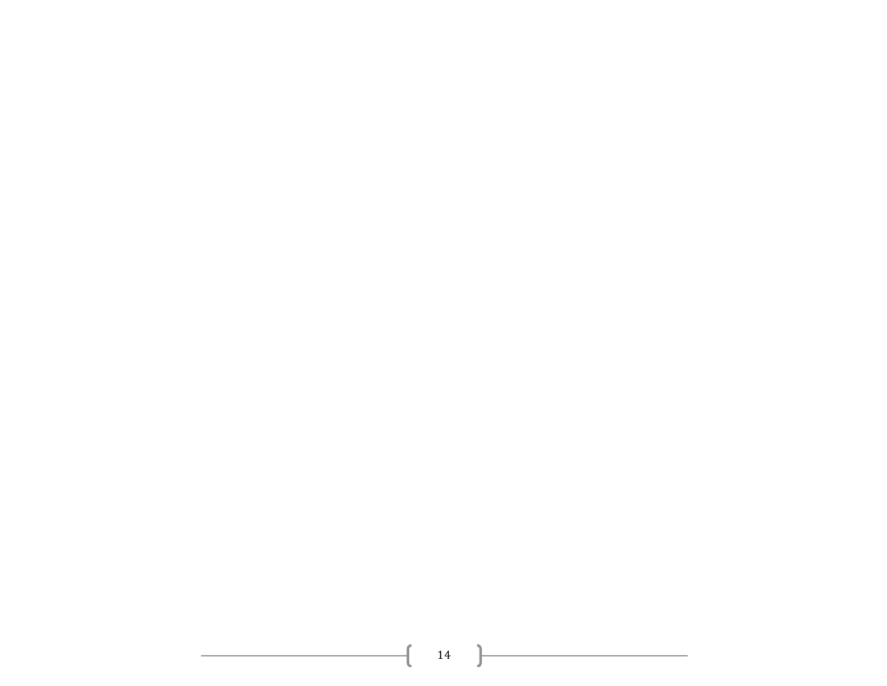$\begin{pmatrix} 14 \end{pmatrix}$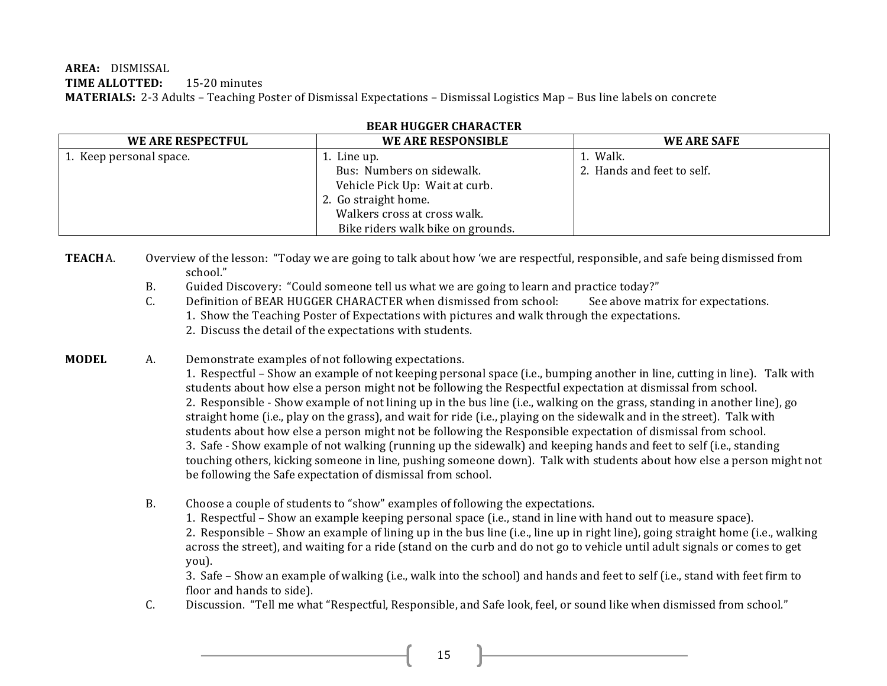AREA: DISMISSAL

**TIME ALLOTTED:** 15-20 minutes

**MATERIALS:** 2-3 Adults – Teaching Poster of Dismissal Expectations – Dismissal Logistics Map – Bus line labels on concrete

| WE ARE RESPECTFUL       | WE ARE RESPONSIBLE                | WE ARE SAFE                |
|-------------------------|-----------------------------------|----------------------------|
| 1. Keep personal space. | 1. Line up.                       | 1. Walk.                   |
|                         | Bus: Numbers on sidewalk.         | 2. Hands and feet to self. |
|                         | Vehicle Pick Up: Wait at curb.    |                            |
|                         | 2. Go straight home.              |                            |
|                         | Walkers cross at cross walk.      |                            |
|                         | Bike riders walk bike on grounds. |                            |

#### **BEAR(HUGGER CHARACTER**

TEACHA. Overview of the lesson: "Today we are going to talk about how 'we are respectful, responsible, and safe being dismissed from school."

B. Guided Discovery: "Could someone tell us what we are going to learn and practice today?"

C. Definition of BEAR HUGGER CHARACTER when dismissed from school: See above matrix for expectations. 1. Show the Teaching Poster of Expectations with pictures and walk through the expectations. 2. Discuss the detail of the expectations with students.

#### **MODEL** A. Demonstrate examples of not following expectations.

1. Respectful – Show an example of not keeping personal space (i.e., bumping another in line, cutting in line). Talk with students about how else a person might not be following the Respectful expectation at dismissal from school. 2. Responsible - Show example of not lining up in the bus line (i.e., walking on the grass, standing in another line), go straight home (i.e., play on the grass), and wait for ride (i.e., playing on the sidewalk and in the street). Talk with students about how else a person might not be following the Responsible expectation of dismissal from school. 3. Safe - Show example of not walking (running up the sidewalk) and keeping hands and feet to self (i.e., standing touching others, kicking someone in line, pushing someone down). Talk with students about how else a person might not be following the Safe expectation of dismissal from school.

B. Choose a couple of students to "show" examples of following the expectations.

1. Respectful – Show an example keeping personal space (i.e., stand in line with hand out to measure space).

2. Responsible – Show an example of lining up in the bus line (i.e., line up in right line), going straight home (i.e., walking across the street), and waiting for a ride (stand on the curb and do not go to vehicle until adult signals or comes to get you).

3. Safe – Show an example of walking (i.e., walk into the school) and hands and feet to self (i.e., stand with feet firm to floor and hands to side).

C. Discussion. "Tell me what "Respectful, Responsible, and Safe look, feel, or sound like when dismissed from school."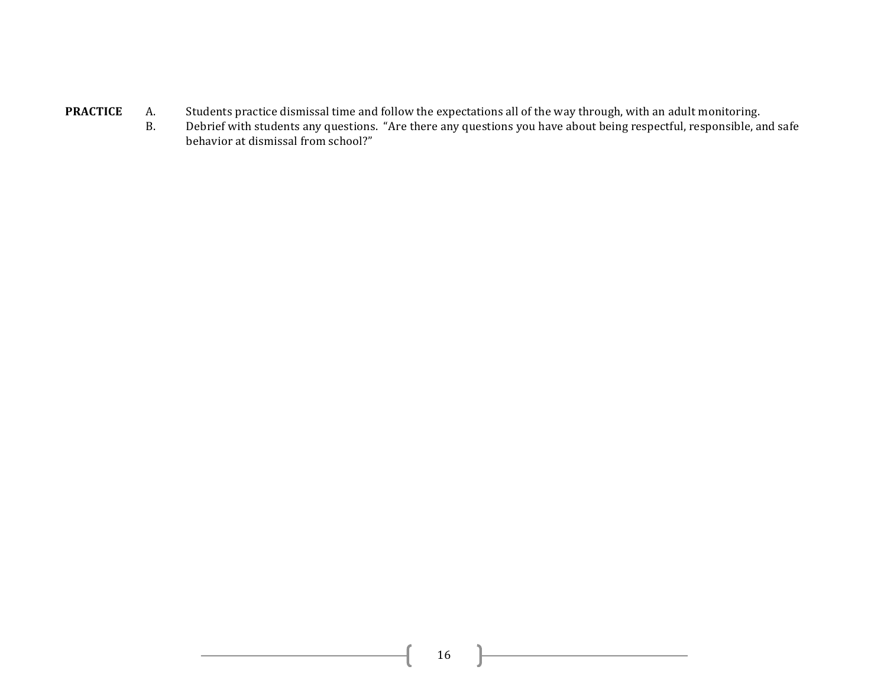- **PRACTICE** A. Students practice dismissal time and follow the expectations all of the way through, with an adult monitoring.
	- B. Debrief with students any questions. "Are there any questions you have about being respectful, responsible, and safe behavior at dismissal from school?"